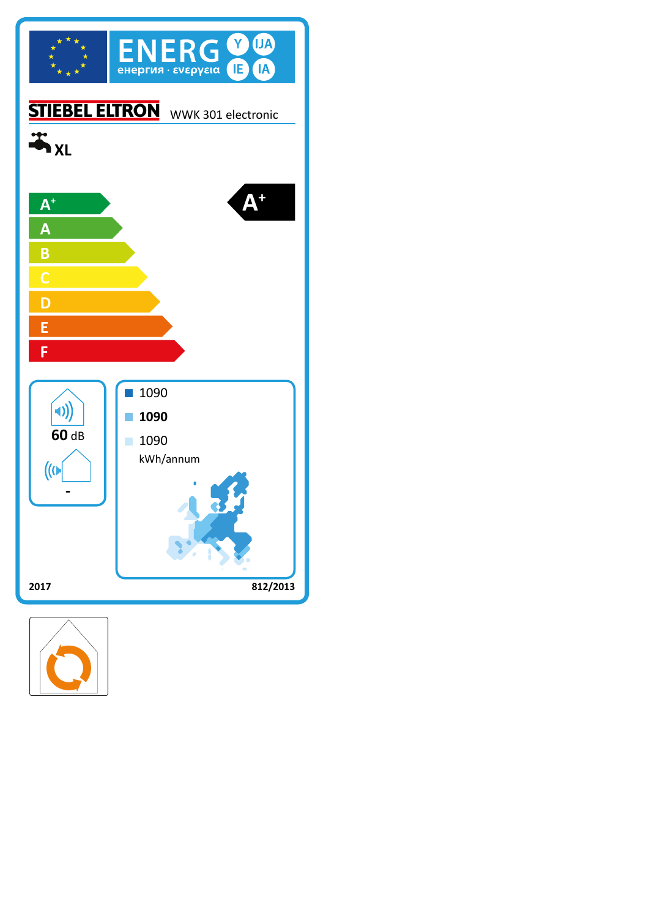